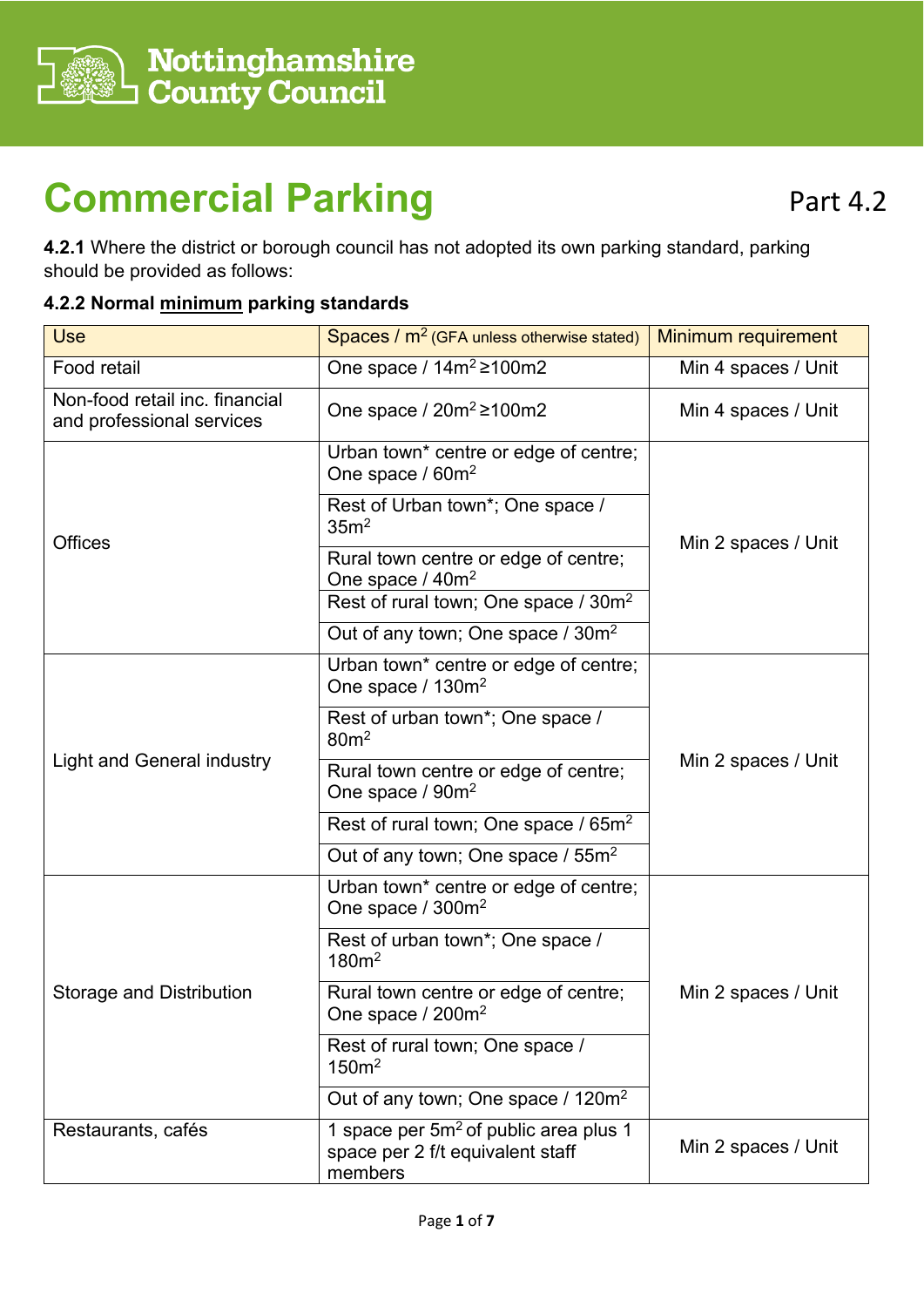

# **Commercial Parking**

**4.2.1** Where the district or borough council has not adopted its own parking standard, parking should be provided as follows:

#### **4.2.2 Normal minimum parking standards**

| <b>Use</b>                                                  | Spaces / $m2$ (GFA unless otherwise stated)                                                      | Minimum requirement |  |
|-------------------------------------------------------------|--------------------------------------------------------------------------------------------------|---------------------|--|
| Food retail                                                 | One space / $14m^2 \ge 100m2$                                                                    | Min 4 spaces / Unit |  |
| Non-food retail inc. financial<br>and professional services | One space / $20m^2 \ge 100m2$                                                                    | Min 4 spaces / Unit |  |
|                                                             | Urban town* centre or edge of centre;<br>One space / 60m <sup>2</sup>                            |                     |  |
|                                                             | Rest of Urban town*; One space /<br>35 <sup>2</sup>                                              |                     |  |
| <b>Offices</b>                                              | Rural town centre or edge of centre;<br>One space / 40m <sup>2</sup>                             | Min 2 spaces / Unit |  |
|                                                             | Rest of rural town; One space / 30m <sup>2</sup>                                                 |                     |  |
|                                                             | Out of any town; One space / 30m <sup>2</sup>                                                    |                     |  |
| <b>Light and General industry</b>                           | Urban town* centre or edge of centre;<br>One space / 130m <sup>2</sup>                           | Min 2 spaces / Unit |  |
|                                                             | Rest of urban town*; One space /<br>80 <sup>m²</sup>                                             |                     |  |
|                                                             | Rural town centre or edge of centre;<br>One space / 90m <sup>2</sup>                             |                     |  |
|                                                             | Rest of rural town; One space / 65m <sup>2</sup>                                                 |                     |  |
|                                                             | Out of any town; One space / 55m <sup>2</sup>                                                    |                     |  |
| Storage and Distribution                                    | Urban town* centre or edge of centre;<br>One space / 300m <sup>2</sup>                           |                     |  |
|                                                             | Rest of urban town*; One space /<br>180m <sup>2</sup>                                            |                     |  |
|                                                             | Rural town centre or edge of centre;<br>One space $/200m^2$                                      | Min 2 spaces / Unit |  |
|                                                             | Rest of rural town; One space /<br>150m <sup>2</sup>                                             |                     |  |
|                                                             | Out of any town; One space / 120m <sup>2</sup>                                                   |                     |  |
| Restaurants, cafés                                          | 1 space per 5m <sup>2</sup> of public area plus 1<br>space per 2 f/t equivalent staff<br>members | Min 2 spaces / Unit |  |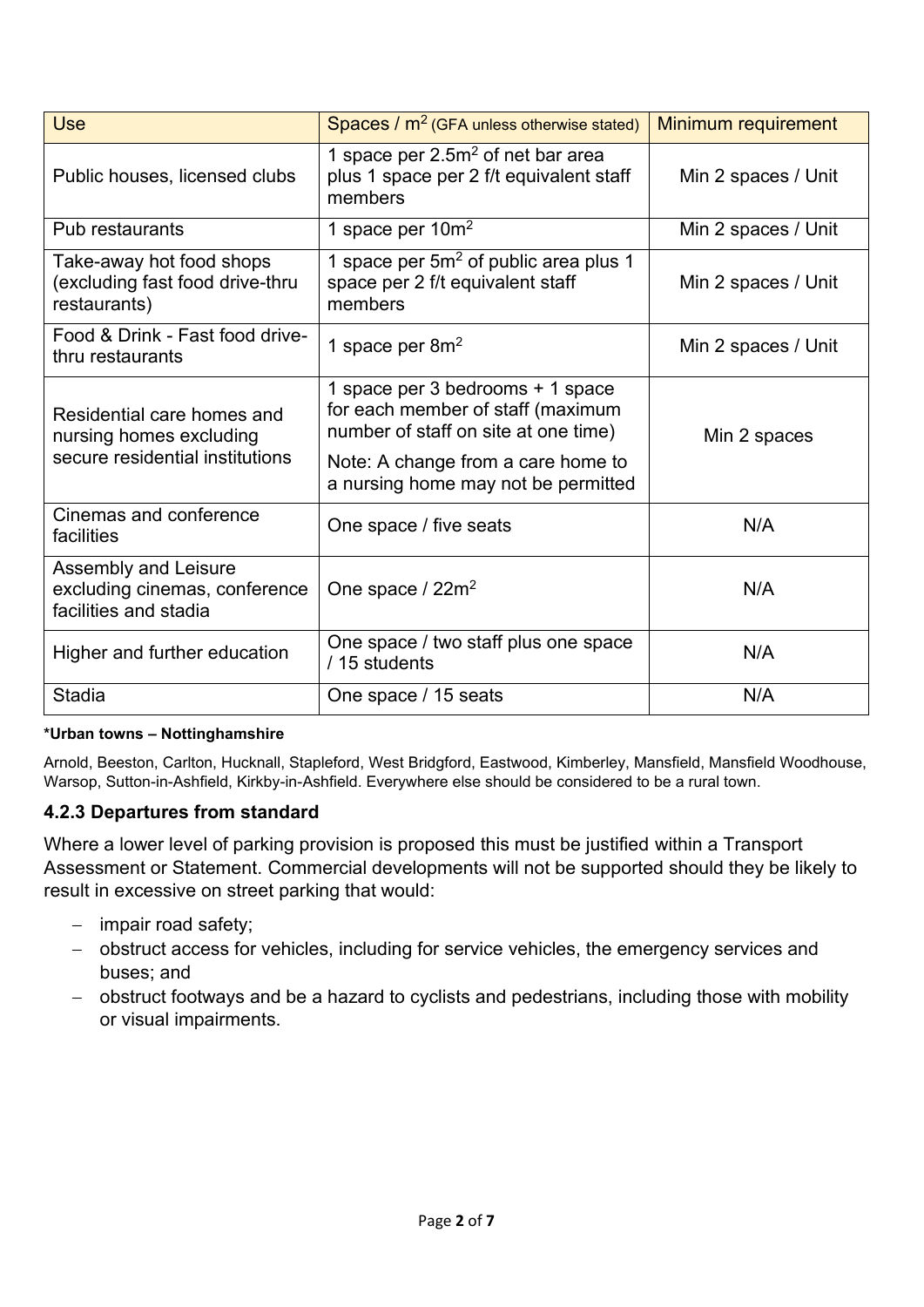| <b>Use</b>                                                                               | Spaces / $m2$ (GFA unless otherwise stated)                                                                                                                                                | Minimum requirement |
|------------------------------------------------------------------------------------------|--------------------------------------------------------------------------------------------------------------------------------------------------------------------------------------------|---------------------|
| Public houses, licensed clubs                                                            | 1 space per $2.5m2$ of net bar area<br>plus 1 space per 2 f/t equivalent staff<br>members                                                                                                  | Min 2 spaces / Unit |
| Pub restaurants                                                                          | 1 space per $10m^2$                                                                                                                                                                        | Min 2 spaces / Unit |
| Take-away hot food shops<br>(excluding fast food drive-thru<br>restaurants)              | 1 space per $5m^2$ of public area plus 1<br>space per 2 f/t equivalent staff<br>members                                                                                                    | Min 2 spaces / Unit |
| Food & Drink - Fast food drive-<br>thru restaurants                                      | 1 space per 8m <sup>2</sup>                                                                                                                                                                | Min 2 spaces / Unit |
| Residential care homes and<br>nursing homes excluding<br>secure residential institutions | 1 space per 3 bedrooms + 1 space<br>for each member of staff (maximum<br>number of staff on site at one time)<br>Note: A change from a care home to<br>a nursing home may not be permitted | Min 2 spaces        |
| Cinemas and conference<br>facilities                                                     | One space / five seats                                                                                                                                                                     | N/A                 |
| Assembly and Leisure<br>excluding cinemas, conference<br>facilities and stadia           | One space / $22m^2$                                                                                                                                                                        | N/A                 |
| Higher and further education                                                             | One space / two staff plus one space<br>/ 15 students                                                                                                                                      | N/A                 |
| <b>Stadia</b>                                                                            | One space / 15 seats                                                                                                                                                                       | N/A                 |

#### **\*Urban towns – Nottinghamshire**

Arnold, Beeston, Carlton, Hucknall, Stapleford, West Bridgford, Eastwood, Kimberley, Mansfield, Mansfield Woodhouse, Warsop, Sutton-in-Ashfield, Kirkby-in-Ashfield. Everywhere else should be considered to be a rural town.

#### **4.2.3 Departures from standard**

Where a lower level of parking provision is proposed this must be justified within a Transport Assessment or Statement. Commercial developments will not be supported should they be likely to result in excessive on street parking that would:

- − impair road safety;
- − obstruct access for vehicles, including for service vehicles, the emergency services and buses; and
- − obstruct footways and be a hazard to cyclists and pedestrians, including those with mobility or visual impairments.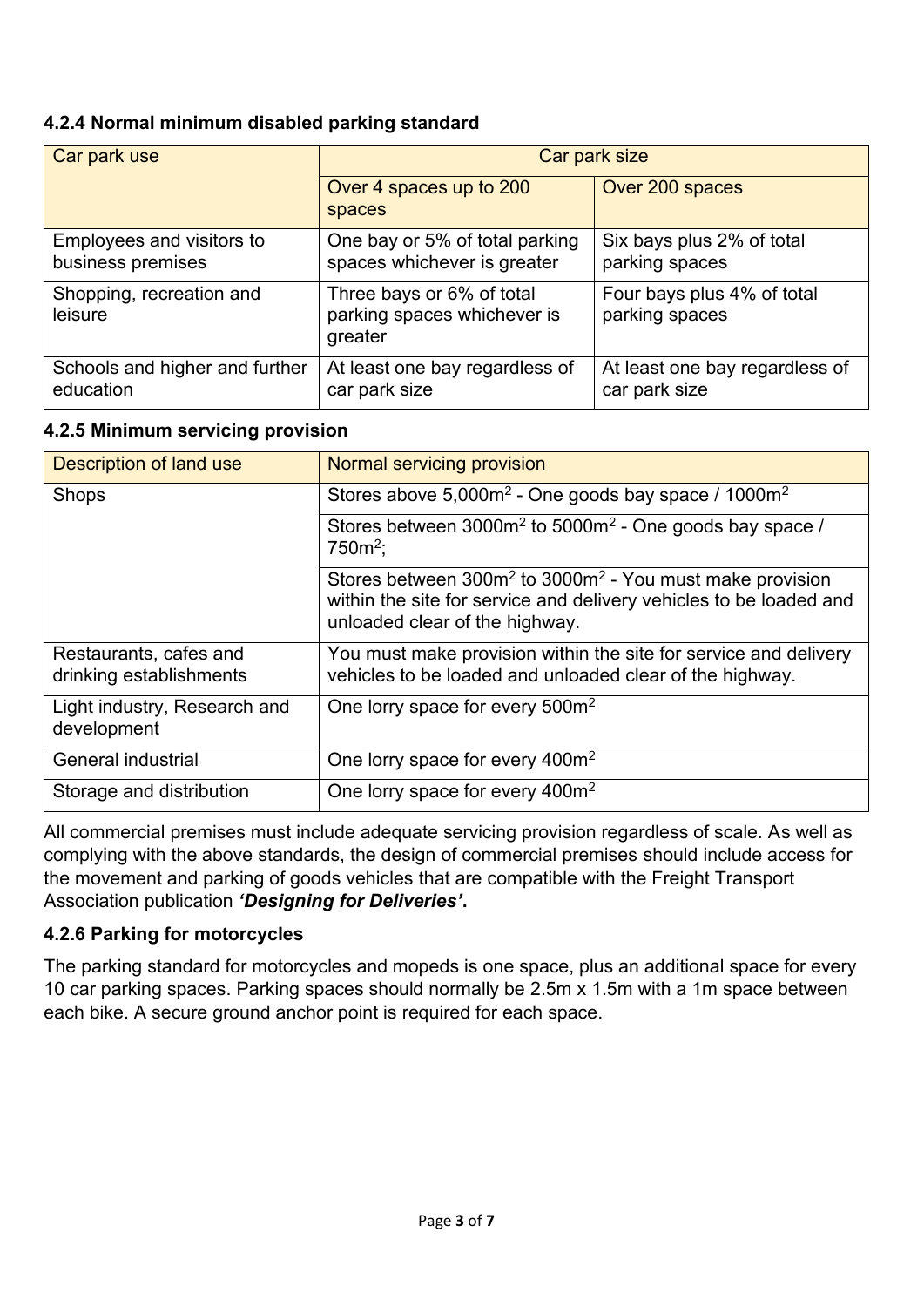#### **4.2.4 Normal minimum disabled parking standard**

| Car park use                                   | Car park size                                                       |                                                 |
|------------------------------------------------|---------------------------------------------------------------------|-------------------------------------------------|
|                                                | Over 4 spaces up to 200<br>spaces                                   | Over 200 spaces                                 |
| Employees and visitors to<br>business premises | One bay or 5% of total parking<br>spaces whichever is greater       | Six bays plus 2% of total<br>parking spaces     |
| Shopping, recreation and<br>leisure            | Three bays or 6% of total<br>parking spaces whichever is<br>greater | Four bays plus 4% of total<br>parking spaces    |
| Schools and higher and further<br>education    | At least one bay regardless of<br>car park size                     | At least one bay regardless of<br>car park size |

#### **4.2.5 Minimum servicing provision**

| Description of land use                           | Normal servicing provision                                                                                                                                             |
|---------------------------------------------------|------------------------------------------------------------------------------------------------------------------------------------------------------------------------|
| Shops                                             | Stores above 5,000m <sup>2</sup> - One goods bay space / 1000m <sup>2</sup>                                                                                            |
|                                                   | Stores between $3000m^2$ to $5000m^2$ - One goods bay space /<br>$750m^2$ ;                                                                                            |
|                                                   | Stores between $300m^2$ to $3000m^2$ - You must make provision<br>within the site for service and delivery vehicles to be loaded and<br>unloaded clear of the highway. |
| Restaurants, cafes and<br>drinking establishments | You must make provision within the site for service and delivery<br>vehicles to be loaded and unloaded clear of the highway.                                           |
| Light industry, Research and<br>development       | One lorry space for every 500m <sup>2</sup>                                                                                                                            |
| <b>General industrial</b>                         | One lorry space for every 400m <sup>2</sup>                                                                                                                            |
| Storage and distribution                          | One lorry space for every 400m <sup>2</sup>                                                                                                                            |

All commercial premises must include adequate servicing provision regardless of scale. As well as complying with the above standards, the design of commercial premises should include access for the movement and parking of goods vehicles that are compatible with the Freight Transport Association publication *'Designing for Deliveries'***.**

#### **4.2.6 Parking for motorcycles**

The parking standard for motorcycles and mopeds is one space, plus an additional space for every 10 car parking spaces. Parking spaces should normally be 2.5m x 1.5m with a 1m space between each bike. A secure ground anchor point is required for each space.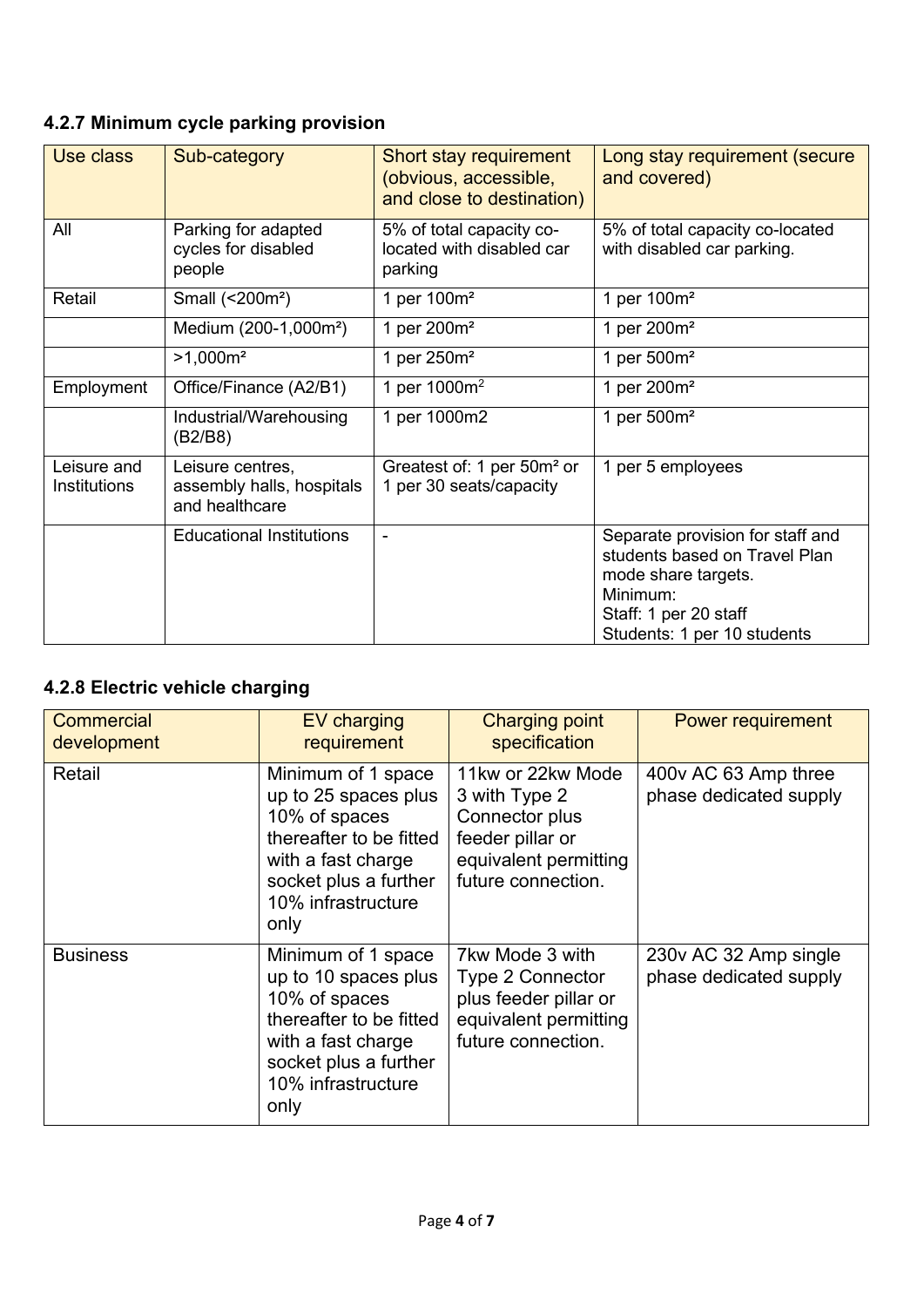# **4.2.7 Minimum cycle parking provision**

| Use class                   | Sub-category                                                    | Short stay requirement<br>(obvious, accessible,<br>and close to destination) | Long stay requirement (secure<br>and covered)                                                                                                                |
|-----------------------------|-----------------------------------------------------------------|------------------------------------------------------------------------------|--------------------------------------------------------------------------------------------------------------------------------------------------------------|
| All                         | Parking for adapted<br>cycles for disabled<br>people            | 5% of total capacity co-<br>located with disabled car<br>parking             | 5% of total capacity co-located<br>with disabled car parking.                                                                                                |
| Retail                      | Small (<200m <sup>2</sup> )                                     | 1 per 100m <sup>2</sup>                                                      | 1 per 100m <sup>2</sup>                                                                                                                                      |
|                             | Medium (200-1,000m <sup>2</sup> )                               | 1 per 200m <sup>2</sup>                                                      | 1 per 200m <sup>2</sup>                                                                                                                                      |
|                             | $>1,000m^2$                                                     | 1 per 250m <sup>2</sup>                                                      | 1 per $500m^2$                                                                                                                                               |
| Employment                  | Office/Finance (A2/B1)                                          | 1 per $1000m^2$                                                              | 1 per 200m <sup>2</sup>                                                                                                                                      |
|                             | Industrial/Warehousing<br>(B2/B8)                               | 1 per 1000m2                                                                 | 1 per $500m^2$                                                                                                                                               |
| Leisure and<br>Institutions | Leisure centres,<br>assembly halls, hospitals<br>and healthcare | Greatest of: 1 per 50m <sup>2</sup> or<br>1 per 30 seats/capacity            | 1 per 5 employees                                                                                                                                            |
|                             | <b>Educational Institutions</b>                                 |                                                                              | Separate provision for staff and<br>students based on Travel Plan<br>mode share targets.<br>Minimum:<br>Staff: 1 per 20 staff<br>Students: 1 per 10 students |

## **4.2.8 Electric vehicle charging**

| <b>Commercial</b><br>development | EV charging<br>requirement                                                                                                                                          | <b>Charging point</b><br>specification                                                                                  | Power requirement                               |
|----------------------------------|---------------------------------------------------------------------------------------------------------------------------------------------------------------------|-------------------------------------------------------------------------------------------------------------------------|-------------------------------------------------|
| Retail                           | Minimum of 1 space<br>up to 25 spaces plus<br>10% of spaces<br>thereafter to be fitted<br>with a fast charge<br>socket plus a further<br>10% infrastructure<br>only | 11kw or 22kw Mode<br>3 with Type 2<br>Connector plus<br>feeder pillar or<br>equivalent permitting<br>future connection. | 400v AC 63 Amp three<br>phase dedicated supply  |
| <b>Business</b>                  | Minimum of 1 space<br>up to 10 spaces plus<br>10% of spaces<br>thereafter to be fitted<br>with a fast charge<br>socket plus a further<br>10% infrastructure<br>only | 7kw Mode 3 with<br><b>Type 2 Connector</b><br>plus feeder pillar or<br>equivalent permitting<br>future connection.      | 230v AC 32 Amp single<br>phase dedicated supply |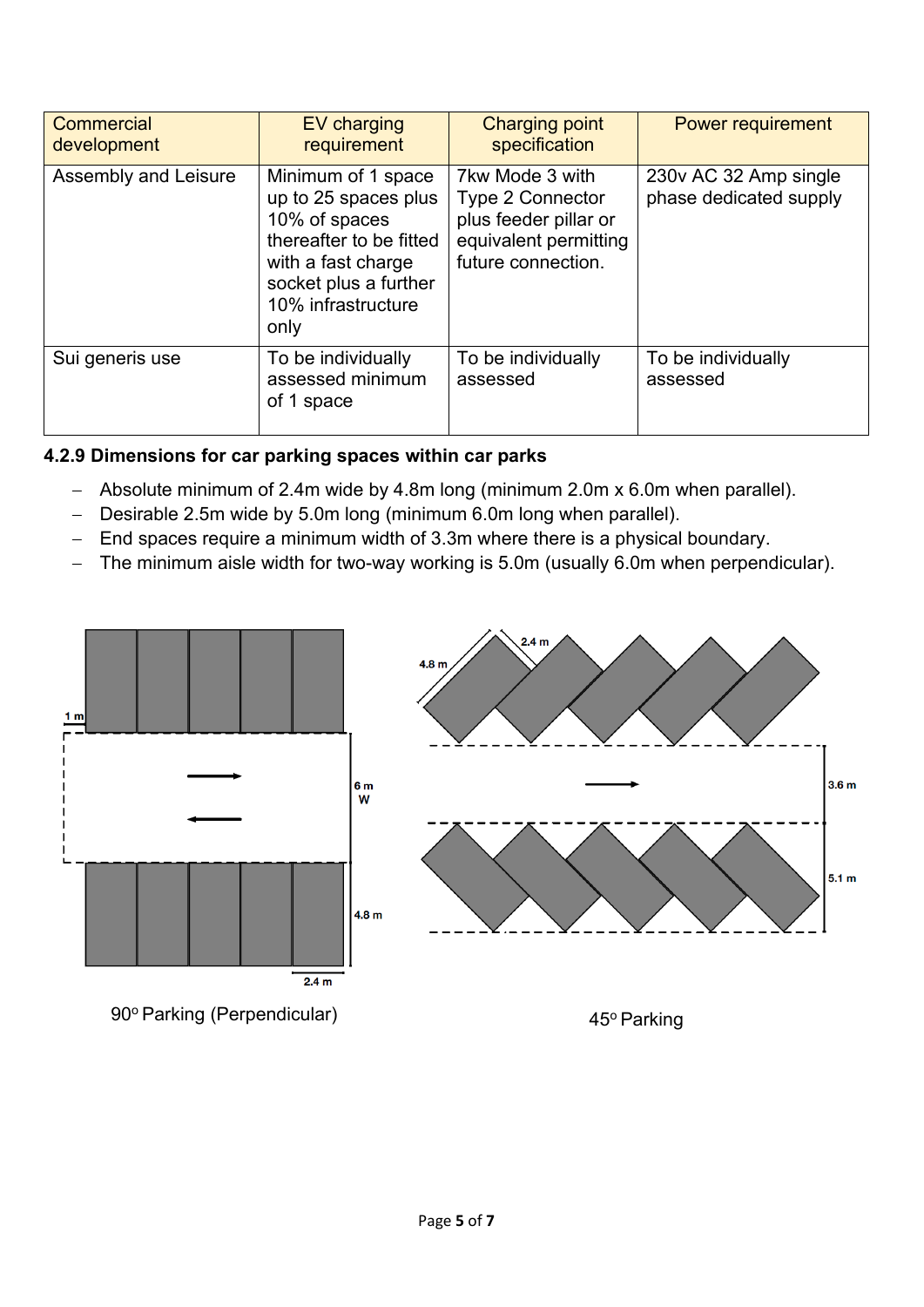| Commercial<br>development | <b>EV</b> charging<br>requirement                                                                                                                                   | <b>Charging point</b><br>specification                                                                             | Power requirement                               |
|---------------------------|---------------------------------------------------------------------------------------------------------------------------------------------------------------------|--------------------------------------------------------------------------------------------------------------------|-------------------------------------------------|
| Assembly and Leisure      | Minimum of 1 space<br>up to 25 spaces plus<br>10% of spaces<br>thereafter to be fitted<br>with a fast charge<br>socket plus a further<br>10% infrastructure<br>only | 7kw Mode 3 with<br><b>Type 2 Connector</b><br>plus feeder pillar or<br>equivalent permitting<br>future connection. | 230v AC 32 Amp single<br>phase dedicated supply |
| Sui generis use           | To be individually<br>assessed minimum<br>of 1 space                                                                                                                | To be individually<br>assessed                                                                                     | To be individually<br>assessed                  |

### **4.2.9 Dimensions for car parking spaces within car parks**

- − Absolute minimum of 2.4m wide by 4.8m long (minimum 2.0m x 6.0m when parallel).
- − Desirable 2.5m wide by 5.0m long (minimum 6.0m long when parallel).
- End spaces require a minimum width of 3.3m where there is a physical boundary.
- − The minimum aisle width for two-way working is 5.0m (usually 6.0m when perpendicular).



90° Parking (Perpendicular) 45° Parking

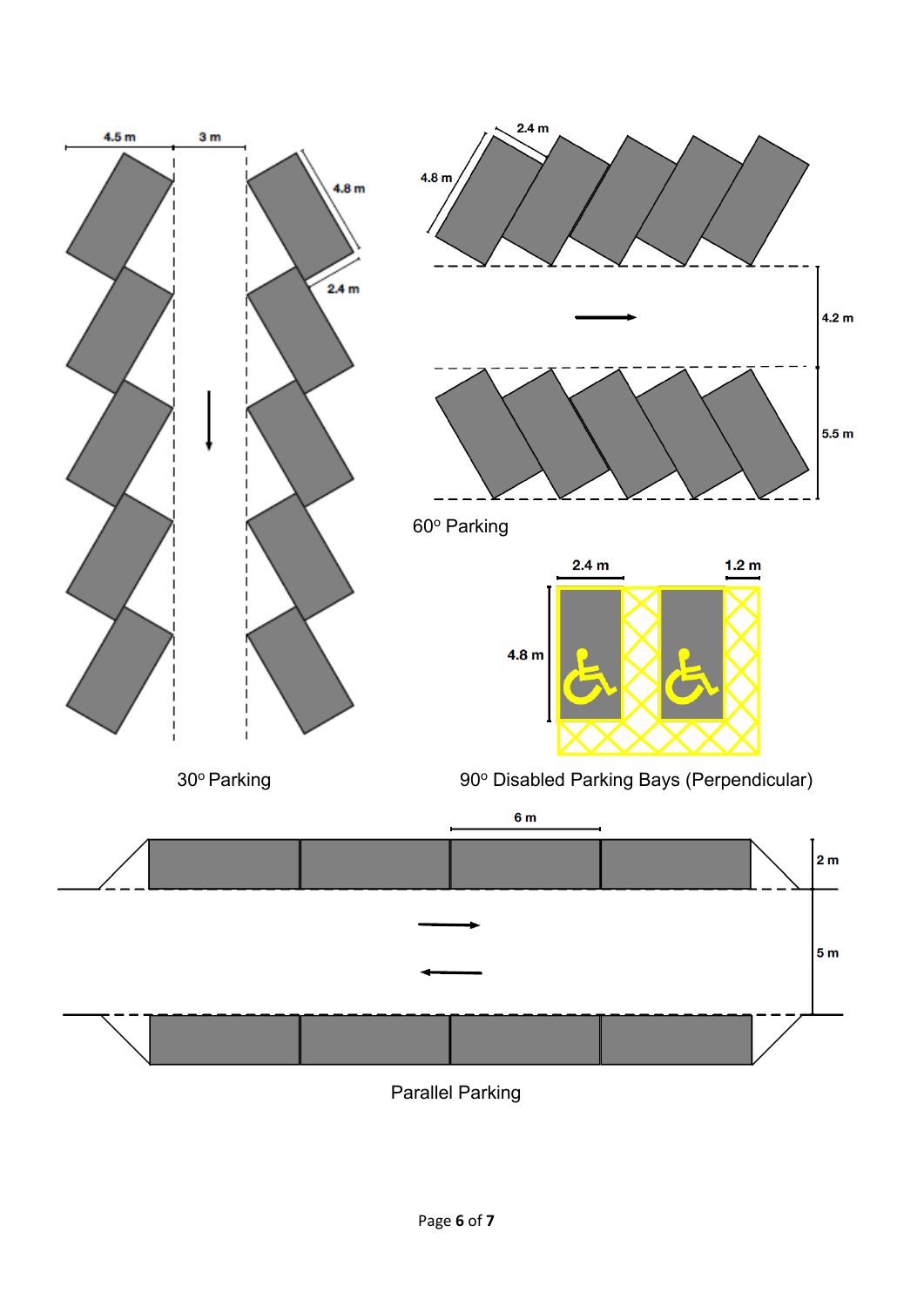

Parallel Parking